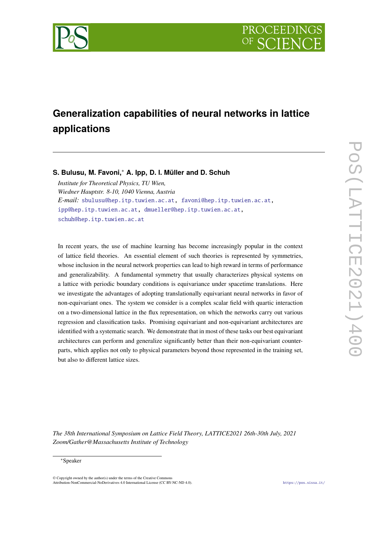

# **Generalization capabilities of neural networks in lattice applications**

## **S. Bulusu, M. Favoni,**<sup>∗</sup> **A. Ipp, D. I. Müller and D. Schuh**

*Institute for Theoretical Physics, TU Wien, Wiedner Hauptstr. 8-10, 1040 Vienna, Austria E-mail:* [sbulusu@hep.itp.tuwien.ac.at,](mailto:sbulusu@hep.itp.tuwien.ac.at) [favoni@hep.itp.tuwien.ac.at,](mailto:favoni@hep.itp.tuwien.ac.at) [ipp@hep.itp.tuwien.ac.at,](mailto:ipp@hep.itp.tuwien.ac.at) [dmueller@hep.itp.tuwien.ac.at,](mailto:dmueller@hep.itp.tuwien.ac.at) [schuh@hep.itp.tuwien.ac.at](mailto:schuh@hep.itp.tuwien.ac.at)

In recent years, the use of machine learning has become increasingly popular in the context of lattice field theories. An essential element of such theories is represented by symmetries, whose inclusion in the neural network properties can lead to high reward in terms of performance and generalizability. A fundamental symmetry that usually characterizes physical systems on a lattice with periodic boundary conditions is equivariance under spacetime translations. Here we investigate the advantages of adopting translationally equivariant neural networks in favor of non-equivariant ones. The system we consider is a complex scalar field with quartic interaction on a two-dimensional lattice in the flux representation, on which the networks carry out various regression and classification tasks. Promising equivariant and non-equivariant architectures are identified with a systematic search. We demonstrate that in most of these tasks our best equivariant architectures can perform and generalize significantly better than their non-equivariant counterparts, which applies not only to physical parameters beyond those represented in the training set, but also to different lattice sizes.

*The 38th International Symposium on Lattice Field Theory, LATTICE2021 26th-30th July, 2021 Zoom/Gather@Massachusetts Institute of Technology*

#### <sup>∗</sup>Speaker

 $\odot$  Copyright owned by the author(s) under the terms of the Creative Common Attribution-NonCommercial-NoDerivatives 4.0 International License (CC BY-NC-ND 4.0). <https://pos.sissa.it/>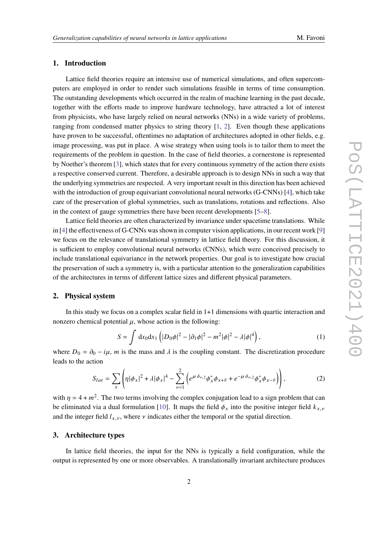## **1. Introduction**

Lattice field theories require an intensive use of numerical simulations, and often supercomputers are employed in order to render such simulations feasible in terms of time consumption. The outstanding developments which occurred in the realm of machine learning in the past decade, together with the efforts made to improve hardware technology, have attracted a lot of interest from physicists, who have largely relied on neural networks (NNs) in a wide variety of problems, ranging from condensed matter physics to string theory [\[1,](#page-8-0) [2\]](#page-8-1). Even though these applications have proven to be successful, oftentimes no adaptation of architectures adopted in other fields, e.g. image processing, was put in place. A wise strategy when using tools is to tailor them to meet the requirements of the problem in question. In the case of field theories, a cornerstone is represented by Noether's theorem [\[3\]](#page-8-2), which states that for every continuous symmetry of the action there exists a respective conserved current. Therefore, a desirable approach is to design NNs in such a way that the underlying symmetries are respected. A very important result in this direction has been achieved with the introduction of group equivariant convolutional neural networks (G-CNNs) [\[4\]](#page-8-3), which take care of the preservation of global symmetries, such as translations, rotations and reflections. Also in the context of gauge symmetries there have been recent developments [\[5](#page-9-0)[–8\]](#page-9-1).

Lattice field theories are often characterized by invariance under spacetime translations. While in [\[4\]](#page-8-3) the effectiveness of G-CNNs was shown in computer vision applications, in our recent work [\[9\]](#page-9-2) we focus on the relevance of translational symmetry in lattice field theory. For this discussion, it is sufficient to employ convolutional neural networks (CNNs), which were conceived precisely to include translational equivariance in the network properties. Our goal is to investigate how crucial the preservation of such a symmetry is, with a particular attention to the generalization capabilities of the architectures in terms of different lattice sizes and different physical parameters.

## **2. Physical system**

In this study we focus on a complex scalar field in 1+1 dimensions with quartic interaction and nonzero chemical potential  $\mu$ , whose action is the following:

$$
S = \int dx_0 dx_1 \left( |D_0 \phi|^2 - |\partial_1 \phi|^2 - m^2 |\phi|^2 - \lambda |\phi|^4 \right),
$$
 (1)

where  $D_0 = \partial_0 - i\mu$ , *m* is the mass and  $\lambda$  is the coupling constant. The discretization procedure leads to the action

$$
S_{lat} = \sum_{x} \left( \eta |\phi_x|^2 + \lambda |\phi_x|^4 - \sum_{\nu=1}^2 \left( e^{\mu \delta_{\nu,2}} \phi_x^* \phi_{x+\hat{\nu}} + e^{-\mu \delta_{\nu,2}} \phi_x^* \phi_{x-\hat{\nu}} \right) \right), \tag{2}
$$

with  $\eta = 4 + m^2$ . The two terms involving the complex conjugation lead to a sign problem that can be eliminated via a dual formulation [\[10\]](#page-9-3). It maps the field  $\phi_x$  into the positive integer field  $k_{x,y}$ and the integer field  $l_{x,y}$ , where  $\nu$  indicates either the temporal or the spatial direction.

#### **3. Architecture types**

In lattice field theories, the input for the NNs is typically a field configuration, while the output is represented by one or more observables. A translationally invariant architecture produces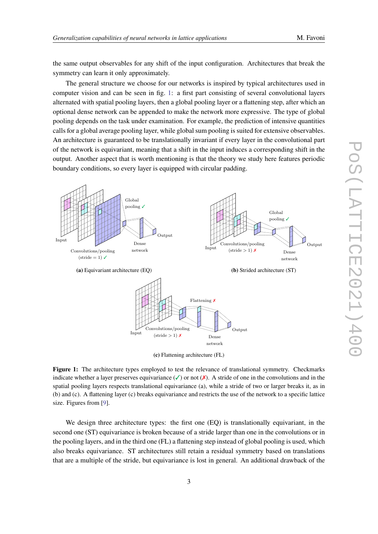the same output observables for any shift of the input configuration. Architectures that break the symmetry can learn it only approximately.

The general structure we choose for our networks is inspired by typical architectures used in computer vision and can be seen in fig. [1:](#page-2-0) a first part consisting of several convolutional layers alternated with spatial pooling layers, then a global pooling layer or a flattening step, after which an optional dense network can be appended to make the network more expressive. The type of global pooling depends on the task under examination. For example, the prediction of intensive quantities calls for a global average pooling layer, while global sum pooling is suited for extensive observables. An architecture is guaranteed to be translationally invariant if every layer in the convolutional part of the network is equivariant, meaning that a shift in the input induces a corresponding shift in the output. Another aspect that is worth mentioning is that the theory we study here features periodic boundary conditions, so every layer is equipped with circular padding.

<span id="page-2-0"></span>

**Figure 1:** The architecture types employed to test the relevance of translational symmetry. Checkmarks indicate whether a layer preserves equivariance  $(\checkmark)$  or not  $(\checkmark)$ . A stride of one in the convolutions and in the spatial pooling layers respects translational equivariance (a), while a stride of two or larger breaks it, as in (b) and (c). A flattening layer (c) breaks equivariance and restricts the use of the network to a specific lattice size. Figures from [\[9\]](#page-9-2).

We design three architecture types: the first one (EQ) is translationally equivariant, in the second one (ST) equivariance is broken because of a stride larger than one in the convolutions or in the pooling layers, and in the third one (FL) a flattening step instead of global pooling is used, which also breaks equivariance. ST architectures still retain a residual symmetry based on translations that are a multiple of the stride, but equivariance is lost in general. An additional drawback of the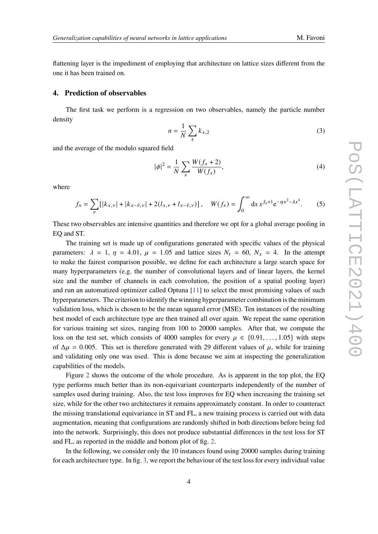flattening layer is the impediment of employing that architecture on lattice sizes different from the one it has been trained on.

#### **4. Prediction of observables**

The first task we perform is a regression on two observables, namely the particle number density

$$
n = \frac{1}{N} \sum_{x} k_{x,2} \tag{3}
$$

and the average of the modulo squared field

$$
|\phi|^2 = \frac{1}{N} \sum_{x} \frac{W(f_x + 2)}{W(f_x)},
$$
\n(4)

where

$$
f_x = \sum_{\nu} \left[ |k_{x,\nu}| + |k_{x-\hat{\nu},\nu}| + 2(l_{x,\nu} + l_{x-\hat{\nu},\nu}) \right], \quad W(f_x) = \int_0^\infty dx \, x^{f_x + 1} e^{-\eta x^2 - \lambda x^4}.
$$
 (5)

These two observables are intensive quantities and therefore we opt for a global average pooling in EQ and ST.

The training set is made up of configurations generated with specific values of the physical parameters:  $\lambda = 1$ ,  $\eta = 4.01$ ,  $\mu = 1.05$  and lattice sizes  $N_t = 60$ ,  $N_x = 4$ . In the attempt to make the fairest comparison possible, we define for each architecture a large search space for many hyperparameters (e.g. the number of convolutional layers and of linear layers, the kernel size and the number of channels in each convolution, the position of a spatial pooling layer) and run an automatized optimizer called Optuna [\[11\]](#page-9-4) to select the most promising values of such hyperparameters. The criterion to identify the winning hyperparameter combination is the minimum validation loss, which is chosen to be the mean squared error (MSE). Ten instances of the resulting best model of each architecture type are then trained all over again. We repeat the same operation for various training set sizes, ranging from 100 to 20000 samples. After that, we compute the loss on the test set, which consists of 4000 samples for every  $\mu \in \{0.91, \ldots, 1.05\}$  with steps of  $\Delta \mu$  = 0.005. This set is therefore generated with 29 different values of  $\mu$ , while for training and validating only one was used. This is done because we aim at inspecting the generalization capabilities of the models.

Figure [2](#page-4-0) shows the outcome of the whole procedure. As is apparent in the top plot, the EQ type performs much better than its non-equivariant counterparts independently of the number of samples used during training. Also, the test loss improves for EQ when increasing the training set size, while for the other two architectures it remains approximately constant. In order to counteract the missing translational equivariance in ST and FL, a new training process is carried out with data augmentation, meaning that configurations are randomly shifted in both directions before being fed into the network. Surprisingly, this does not produce substantial differences in the test loss for ST and FL, as reported in the middle and bottom plot of fig. [2.](#page-4-0)

In the following, we consider only the 10 instances found using 20000 samples during training for each architecture type. In fig. [3,](#page-4-0) we report the behaviour of the test loss for every individual value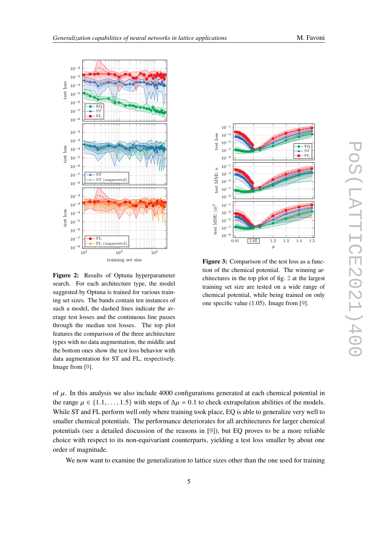

<span id="page-4-0"></span>

**Figure 2:** Results of Optuna hyperparameter search. For each architecture type, the model suggested by Optuna is trained for various training set sizes. The bands contain ten instances of such a model, the dashed lines indicate the average test losses and the continuous line passes through the median test losses. The top plot features the comparison of the three architecture types with no data augmentation, the middle and the bottom ones show the test loss behavior with data augmentation for ST and FL, respectively. Image from [\[9\]](#page-9-2).



**Figure 3:** Comparison of the test loss as a function of the chemical potential. The winning architectures in the top plot of fig. [2](#page-4-0) at the largest training set size are tested on a wide range of chemical potential, while being trained on only one specific value (1.05). Image from [\[9\]](#page-9-2).

of  $\mu$ . In this analysis we also include 4000 configurations generated at each chemical potential in the range  $\mu \in \{1.1, \dots, 1.5\}$  with steps of  $\Delta \mu = 0.1$  to check extrapolation abilities of the models. While ST and FL perform well only where training took place, EQ is able to generalize very well to smaller chemical potentials. The performance deteriorates for all architectures for larger chemical potentials (see a detailed discussion of the reasons in [\[9\]](#page-9-2)), but EQ proves to be a more reliable choice with respect to its non-equivariant counterparts, yielding a test loss smaller by about one order of magnitude.

We now want to examine the generalization to lattice sizes other than the one used for training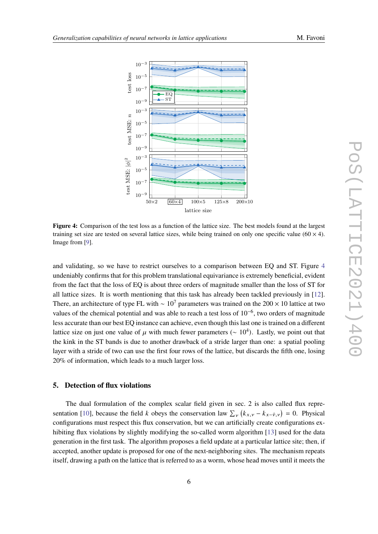<span id="page-5-0"></span>

**Figure 4:** Comparison of the test loss as a function of the lattice size. The best models found at the largest training set size are tested on several lattice sizes, while being trained on only one specific value ( $60 \times 4$ ). Image from [\[9\]](#page-9-2).

and validating, so we have to restrict ourselves to a comparison between EQ and ST. Figure [4](#page-5-0) undeniably confirms that for this problem translational equivariance is extremely beneficial, evident from the fact that the loss of EQ is about three orders of magnitude smaller than the loss of ST for all lattice sizes. It is worth mentioning that this task has already been tackled previously in [\[12\]](#page-9-5). There, an architecture of type FL with ~  $10^7$  parameters was trained on the 200 × 10 lattice at two values of the chemical potential and was able to reach a test loss of 10−<sup>6</sup> , two orders of magnitude less accurate than our best EQ instance can achieve, even though this last one is trained on a different lattice size on just one value of  $\mu$  with much fewer parameters ( $\sim 10^4$ ). Lastly, we point out that the kink in the ST bands is due to another drawback of a stride larger than one: a spatial pooling layer with a stride of two can use the first four rows of the lattice, but discards the fifth one, losing 20% of information, which leads to a much larger loss.

## **5. Detection of flux violations**

The dual formulation of the complex scalar field given in sec. 2 is also called flux repre-sentation [\[10\]](#page-9-3), because the field k obeys the conservation law  $\sum_{v} (k_{x,v} - k_{x-\hat{v},v}) = 0$ . Physical configurations must respect this flux conservation, but we can artificially create configurations ex-hibiting flux violations by slightly modifying the so-called worm algorithm [\[13\]](#page-9-6) used for the data generation in the first task. The algorithm proposes a field update at a particular lattice site; then, if accepted, another update is proposed for one of the next-neighboring sites. The mechanism repeats itself, drawing a path on the lattice that is referred to as a worm, whose head moves until it meets the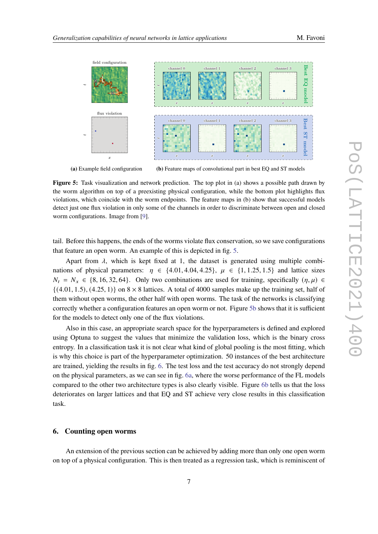<span id="page-6-0"></span>

**(a)** Example field configuration

**(b)** Feature maps of convolutional part in best EQ and ST models

**Figure 5:** Task visualization and network prediction. The top plot in (a) shows a possible path drawn by the worm algorithm on top of a preexisting physical configuration, while the bottom plot highlights flux violations, which coincide with the worm endpoints. The feature maps in (b) show that successful models detect just one flux violation in only some of the channels in order to discriminate between open and closed worm configurations. Image from [\[9\]](#page-9-2).

tail. Before this happens, the ends of the worms violate flux conservation, so we save configurations that feature an open worm. An example of this is depicted in fig. [5.](#page-6-0)

Apart from  $\lambda$ , which is kept fixed at 1, the dataset is generated using multiple combinations of physical parameters:  $\eta \in \{4.01, 4.04, 4.25\}$ ,  $\mu \in \{1, 1.25, 1.5\}$  and lattice sizes  $N_t = N_x \in \{8, 16, 32, 64\}.$  Only two combinations are used for training, specifically  $(\eta, \mu) \in$  $\{(4.01, 1.5), (4.25, 1)\}\$  on  $8 \times 8$  lattices. A total of 4000 samples make up the training set, half of them without open worms, the other half with open worms. The task of the networks is classifying correctly whether a configuration features an open worm or not. Figure [5b](#page-6-0) shows that it is sufficient for the models to detect only one of the flux violations.

Also in this case, an appropriate search space for the hyperparameters is defined and explored using Optuna to suggest the values that minimize the validation loss, which is the binary cross entropy. In a classification task it is not clear what kind of global pooling is the most fitting, which is why this choice is part of the hyperparameter optimization. 50 instances of the best architecture are trained, yielding the results in fig. [6.](#page-7-0) The test loss and the test accuracy do not strongly depend on the physical parameters, as we can see in fig. [6a,](#page-7-0) where the worse performance of the FL models compared to the other two architecture types is also clearly visible. Figure [6b](#page-7-0) tells us that the loss deteriorates on larger lattices and that EQ and ST achieve very close results in this classification task.

#### **6. Counting open worms**

An extension of the previous section can be achieved by adding more than only one open worm on top of a physical configuration. This is then treated as a regression task, which is reminiscent of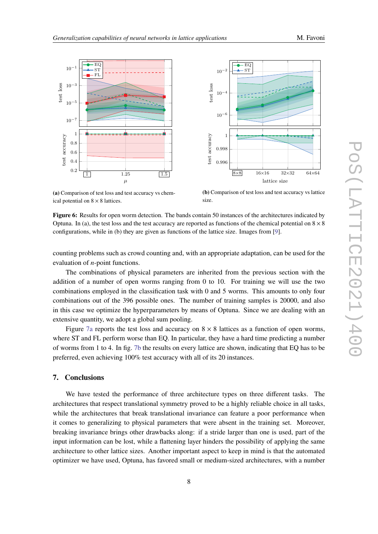<span id="page-7-0"></span>



**(a)** Comparison of test loss and test accuracy vs chemical potential on  $8 \times 8$  lattices.

**(b)** Comparison of test loss and test accuracy vs lattice size.

**Figure 6:** Results for open worm detection. The bands contain 50 instances of the architectures indicated by Optuna. In (a), the test loss and the test accuracy are reported as functions of the chemical potential on  $8 \times 8$ configurations, while in (b) they are given as functions of the lattice size. Images from [\[9\]](#page-9-2).

counting problems such as crowd counting and, with an appropriate adaptation, can be used for the evaluation of  $n$ -point functions.

The combinations of physical parameters are inherited from the previous section with the addition of a number of open worms ranging from 0 to 10. For training we will use the two combinations employed in the classification task with 0 and 5 worms. This amounts to only four combinations out of the 396 possible ones. The number of training samples is 20000, and also in this case we optimize the hyperparameters by means of Optuna. Since we are dealing with an extensive quantity, we adopt a global sum pooling.

Figure [7a](#page-8-4) reports the test loss and accuracy on  $8 \times 8$  lattices as a function of open worms, where ST and FL perform worse than EQ. In particular, they have a hard time predicting a number of worms from 1 to 4. In fig. [7b](#page-8-4) the results on every lattice are shown, indicating that EQ has to be preferred, even achieving 100% test accuracy with all of its 20 instances.

## **7. Conclusions**

We have tested the performance of three architecture types on three different tasks. The architectures that respect translational symmetry proved to be a highly reliable choice in all tasks, while the architectures that break translational invariance can feature a poor performance when it comes to generalizing to physical parameters that were absent in the training set. Moreover, breaking invariance brings other drawbacks along: if a stride larger than one is used, part of the input information can be lost, while a flattening layer hinders the possibility of applying the same architecture to other lattice sizes. Another important aspect to keep in mind is that the automated optimizer we have used, Optuna, has favored small or medium-sized architectures, with a number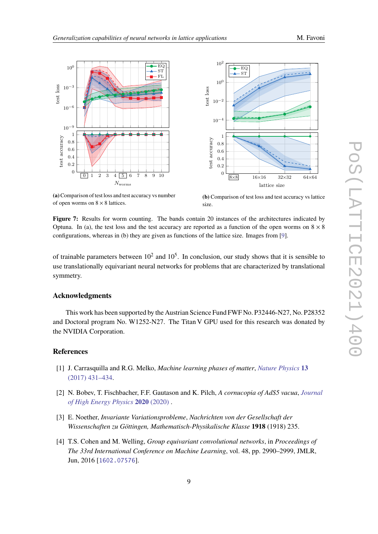<span id="page-8-4"></span>

**(a)**Comparison of test loss and test accuracy vs number of open worms on  $8 \times 8$  lattices.



**(b)** Comparison of test loss and test accuracy vs lattice size.

**Figure 7:** Results for worm counting. The bands contain 20 instances of the architectures indicated by Optuna. In (a), the test loss and the test accuracy are reported as a function of the open worms on  $8 \times 8$ configurations, whereas in (b) they are given as functions of the lattice size. Images from [\[9\]](#page-9-2).

of trainable parameters between  $10^2$  and  $10^5$ . In conclusion, our study shows that it is sensible to use translationally equivariant neural networks for problems that are characterized by translational symmetry.

### **Acknowledgments**

This work has been supported by the Austrian Science Fund FWF No. P32446-N27, No. P28352 and Doctoral program No. W1252-N27. The Titan V GPU used for this research was donated by the NVIDIA Corporation.

### **References**

- <span id="page-8-0"></span>[1] J. Carrasquilla and R.G. Melko, *Machine learning phases of matter*, *[Nature Physics](https://doi.org/10.1038/nphys4035)* **13** [\(2017\) 431–434.](https://doi.org/10.1038/nphys4035)
- <span id="page-8-1"></span>[2] N. Bobev, T. Fischbacher, F.F. Gautason and K. Pilch, *A cornucopia of AdS5 vacua*, *[Journal](https://doi.org/10.1007/jhep07(2020)240) [of High Energy Physics](https://doi.org/10.1007/jhep07(2020)240)* **2020** (2020) .
- <span id="page-8-2"></span>[3] E. Noether, *Invariante Variationsprobleme*, *Nachrichten von der Gesellschaft der Wissenschaften zu Göttingen, Mathematisch-Physikalische Klasse* **1918** (1918) 235.
- <span id="page-8-3"></span>[4] T.S. Cohen and M. Welling, *Group equivariant convolutional networks*, in *Proceedings of The 33rd International Conference on Machine Learning*, vol. 48, pp. 2990–2999, JMLR, Jun, 2016 [[1602.07576](https://arxiv.org/abs/1602.07576)].